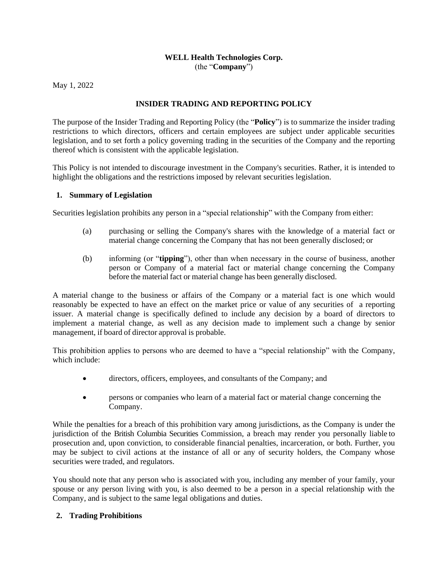#### **WELL Health Technologies Corp.** (the "**Company**")

May 1, 2022

# **INSIDER TRADING AND REPORTING POLICY**

The purpose of the Insider Trading and Reporting Policy (the "**Policy**") is to summarize the insider trading restrictions to which directors, officers and certain employees are subject under applicable securities legislation, and to set forth a policy governing trading in the securities of the Company and the reporting thereof which is consistent with the applicable legislation.

This Policy is not intended to discourage investment in the Company's securities. Rather, it is intended to highlight the obligations and the restrictions imposed by relevant securities legislation.

### **1. Summary of Legislation**

Securities legislation prohibits any person in a "special relationship" with the Company from either:

- (a) purchasing or selling the Company's shares with the knowledge of a material fact or material change concerning the Company that has not been generally disclosed; or
- (b) informing (or "**tipping**"), other than when necessary in the course of business, another person or Company of a material fact or material change concerning the Company before the material fact or material change has been generally disclosed.

A material change to the business or affairs of the Company or a material fact is one which would reasonably be expected to have an effect on the market price or value of any securities of a reporting issuer. A material change is specifically defined to include any decision by a board of directors to implement a material change, as well as any decision made to implement such a change by senior management, if board of director approval is probable.

This prohibition applies to persons who are deemed to have a "special relationship" with the Company, which include:

- directors, officers, employees, and consultants of the Company; and
- persons or companies who learn of a material fact or material change concerning the Company.

While the penalties for a breach of this prohibition vary among jurisdictions, as the Company is under the jurisdiction of the British Columbia Securities Commission, a breach may render you personally liable to prosecution and, upon conviction, to considerable financial penalties, incarceration, or both. Further, you may be subject to civil actions at the instance of all or any of security holders, the Company whose securities were traded, and regulators.

You should note that any person who is associated with you, including any member of your family, your spouse or any person living with you, is also deemed to be a person in a special relationship with the Company, and is subject to the same legal obligations and duties.

# **2. Trading Prohibitions**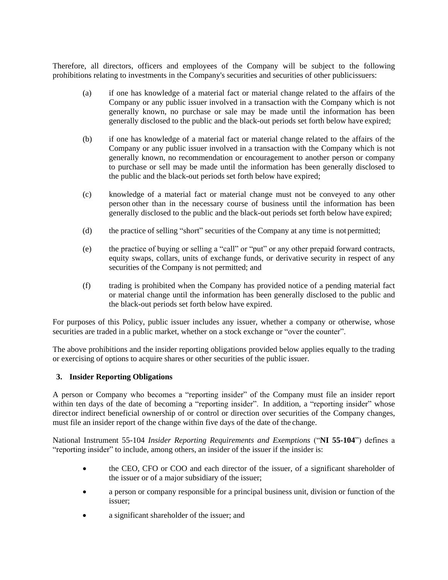Therefore, all directors, officers and employees of the Company will be subject to the following prohibitions relating to investments in the Company's securities and securities of other publicissuers:

- (a) if one has knowledge of a material fact or material change related to the affairs of the Company or any public issuer involved in a transaction with the Company which is not generally known, no purchase or sale may be made until the information has been generally disclosed to the public and the black-out periods set forth below have expired;
- (b) if one has knowledge of a material fact or material change related to the affairs of the Company or any public issuer involved in a transaction with the Company which is not generally known, no recommendation or encouragement to another person or company to purchase or sell may be made until the information has been generally disclosed to the public and the black-out periods set forth below have expired;
- (c) knowledge of a material fact or material change must not be conveyed to any other person other than in the necessary course of business until the information has been generally disclosed to the public and the black-out periods set forth below have expired;
- (d) the practice of selling "short" securities of the Company at any time is not permitted;
- (e) the practice of buying or selling a "call" or "put" or any other prepaid forward contracts, equity swaps, collars, units of exchange funds, or derivative security in respect of any securities of the Company is not permitted; and
- (f) trading is prohibited when the Company has provided notice of a pending material fact or material change until the information has been generally disclosed to the public and the black-out periods set forth below have expired.

For purposes of this Policy, public issuer includes any issuer, whether a company or otherwise, whose securities are traded in a public market, whether on a stock exchange or "over the counter".

The above prohibitions and the insider reporting obligations provided below applies equally to the trading or exercising of options to acquire shares or other securities of the public issuer.

### **3. Insider Reporting Obligations**

A person or Company who becomes a "reporting insider" of the Company must file an insider report within ten days of the date of becoming a "reporting insider". In addition, a "reporting insider" whose director indirect beneficial ownership of or control or direction over securities of the Company changes, must file an insider report of the change within five days of the date of the change.

National Instrument 55-104 *Insider Reporting Requirements and Exemptions* ("**NI 55-104**") defines a "reporting insider" to include, among others, an insider of the issuer if the insider is:

- the CEO, CFO or COO and each director of the issuer, of a significant shareholder of the issuer or of a major subsidiary of the issuer;
- a person or company responsible for a principal business unit, division or function of the issuer;
- a significant shareholder of the issuer; and